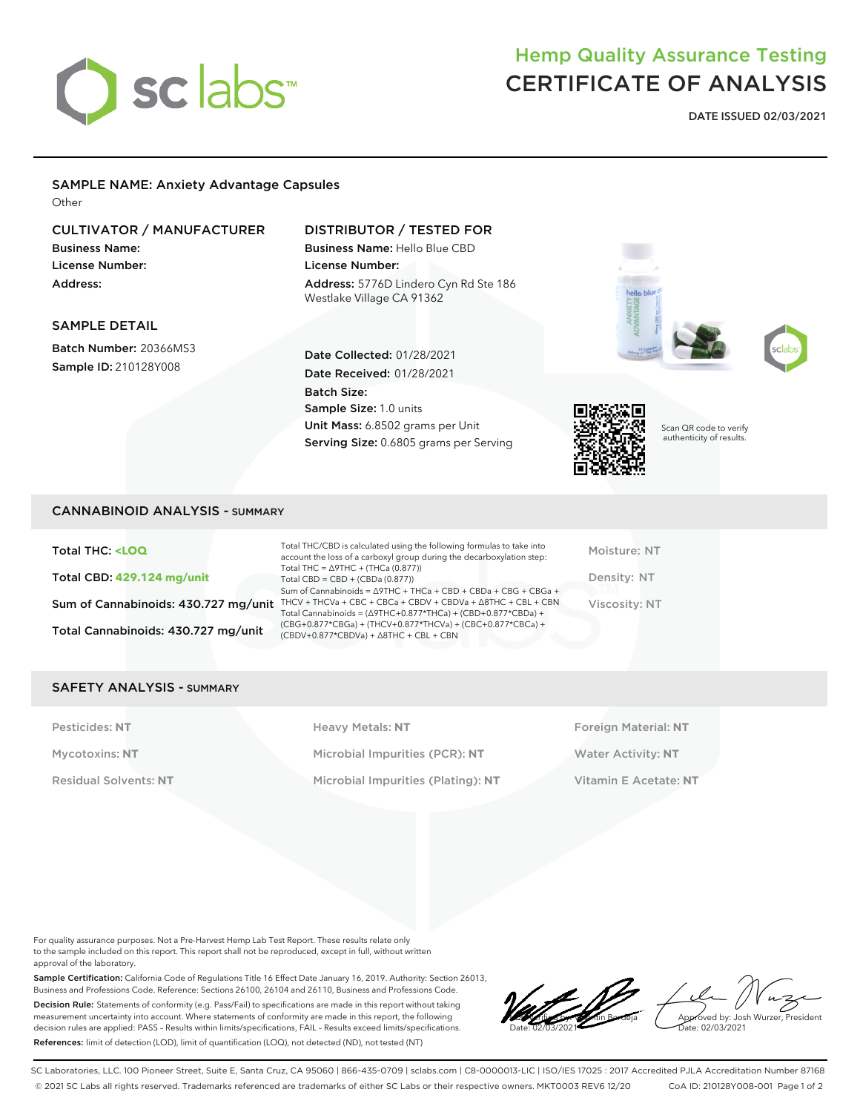# sclabs<sup>\*</sup>

# Hemp Quality Assurance Testing CERTIFICATE OF ANALYSIS

**DATE ISSUED 02/03/2021**

# SAMPLE NAME: Anxiety Advantage Capsules

**Other** 

# CULTIVATOR / MANUFACTURER

Business Name: License Number: Address:

SAMPLE DETAIL

Batch Number: 20366MS3 Sample ID: 210128Y008

## DISTRIBUTOR / TESTED FOR

Date Collected: 01/28/2021 Date Received: 01/28/2021

Sample Size: 1.0 units

Batch Size:

Business Name: Hello Blue CBD License Number: Address: 5776D Lindero Cyn Rd Ste 186 Westlake Village CA 91362



Unit Mass: 6.8502 grams per Unit Serving Size: 0.6805 grams per Serving

Scan QR code to verify authenticity of results.

Total THC: **<LOQ** Total CBD: **429.124 mg/unit** Total Cannabinoids: 430.727 mg/unit

Sum of Cannabinoids: 430.727 mg/unit THCV + THCVa + CBC + CBCa + CBDV + CBDVa +  $\triangle$ 8THC + CBL + CBN Total THC/CBD is calculated using the following formulas to take into account the loss of a carboxyl group during the decarboxylation step: Total THC = ∆9THC + (THCa (0.877)) Total CBD = CBD + (CBDa (0.877)) Sum of Cannabinoids = ∆9THC + THCa + CBD + CBDa + CBG + CBGa + Total Cannabinoids = (∆9THC+0.877\*THCa) + (CBD+0.877\*CBDa) + (CBG+0.877\*CBGa) + (THCV+0.877\*THCVa) + (CBC+0.877\*CBCa) + (CBDV+0.877\*CBDVa) + ∆8THC + CBL + CBN

Moisture: NT Density: NT Viscosity: NT

### SAFETY ANALYSIS - SUMMARY

Pesticides: NT **All Accords** Heavy Metals: NT **Foreign Material: NT** Pesticides: NT Mycotoxins: **NT** Microbial Impurities (PCR): **NT** Water Activity: **NT** Residual Solvents: **NT** Microbial Impurities (Plating): **NT** Vitamin E Acetate: **NT**

For quality assurance purposes. Not a Pre-Harvest Hemp Lab Test Report. These results relate only to the sample included on this report. This report shall not be reproduced, except in full, without written approval of the laboratory.

Sample Certification: California Code of Regulations Title 16 Effect Date January 16, 2019. Authority: Section 26013, Business and Professions Code. Reference: Sections 26100, 26104 and 26110, Business and Professions Code. Decision Rule: Statements of conformity (e.g. Pass/Fail) to specifications are made in this report without taking measurement uncertainty into account. Where statements of conformity are made in this report, the following decision rules are applied: PASS – Results within limits/specifications, FAIL – Results exceed limits/specifications. References: limit of detection (LOD), limit of quantification (LOQ), not detected (ND), not tested (NT)

LQC verified by: Valentin Berdeja Date: 02/03/2021 **Foved by: Josh Wurzer, President** ate: 02/03/2021

SC Laboratories, LLC. 100 Pioneer Street, Suite E, Santa Cruz, CA 95060 | 866-435-0709 | sclabs.com | C8-0000013-LIC | ISO/IES 17025 : 2017 Accredited PJLA Accreditation Number 87168 © 2021 SC Labs all rights reserved. Trademarks referenced are trademarks of either SC Labs or their respective owners. MKT0003 REV6 12/20 CoA ID: 210128Y008-001 Page 1 of 2